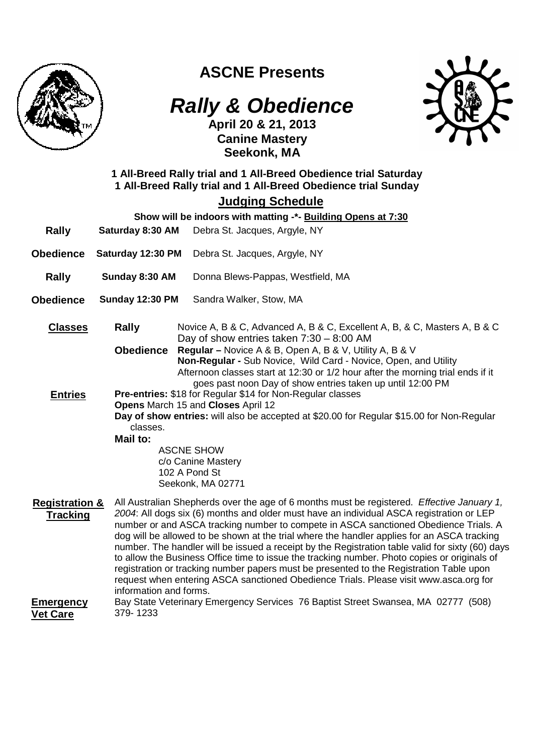

## **ASCNE Presents**

# **Rally & Obedience**



**April 20 & 21, 2013 Canine Mastery Seekonk, MA** 

## **1 All-Breed Rally trial and 1 All-Breed Obedience trial Saturday 1 All-Breed Rally trial and 1 All-Breed Obedience trial Sunday**

## **Judging Schedule**

|                                              |                        | Show will be indoors with matting -*- Building Opens at 7:30                                                                                                                                                                                                                                                                                                                                                                                                                                                                                                                                                                                                                                                                                                          |  |
|----------------------------------------------|------------------------|-----------------------------------------------------------------------------------------------------------------------------------------------------------------------------------------------------------------------------------------------------------------------------------------------------------------------------------------------------------------------------------------------------------------------------------------------------------------------------------------------------------------------------------------------------------------------------------------------------------------------------------------------------------------------------------------------------------------------------------------------------------------------|--|
| <b>Rally</b>                                 | Saturday 8:30 AM       | Debra St. Jacques, Argyle, NY                                                                                                                                                                                                                                                                                                                                                                                                                                                                                                                                                                                                                                                                                                                                         |  |
| <b>Obedience</b>                             | Saturday 12:30 PM      | Debra St. Jacques, Argyle, NY                                                                                                                                                                                                                                                                                                                                                                                                                                                                                                                                                                                                                                                                                                                                         |  |
| <b>Rally</b>                                 | Sunday 8:30 AM         | Donna Blews-Pappas, Westfield, MA                                                                                                                                                                                                                                                                                                                                                                                                                                                                                                                                                                                                                                                                                                                                     |  |
| <b>Obedience</b>                             | <b>Sunday 12:30 PM</b> | Sandra Walker, Stow, MA                                                                                                                                                                                                                                                                                                                                                                                                                                                                                                                                                                                                                                                                                                                                               |  |
| <b>Classes</b>                               | Rally                  | Novice A, B & C, Advanced A, B & C, Excellent A, B, & C, Masters A, B & C<br>Day of show entries taken $7:30 - 8:00$ AM                                                                                                                                                                                                                                                                                                                                                                                                                                                                                                                                                                                                                                               |  |
| <b>Entries</b>                               | classes.<br>Mail to:   | <b>Obedience</b><br><b>Regular</b> – Novice A & B, Open A, B & V, Utility A, B & V<br>Non-Regular - Sub Novice, Wild Card - Novice, Open, and Utility<br>Afternoon classes start at 12:30 or 1/2 hour after the morning trial ends if it<br>goes past noon Day of show entries taken up until 12:00 PM<br>Pre-entries: \$18 for Regular \$14 for Non-Regular classes<br>Opens March 15 and Closes April 12<br>Day of show entries: will also be accepted at \$20.00 for Regular \$15.00 for Non-Regular<br><b>ASCNE SHOW</b>                                                                                                                                                                                                                                          |  |
|                                              |                        | c/o Canine Mastery<br>102 A Pond St<br>Seekonk, MA 02771                                                                                                                                                                                                                                                                                                                                                                                                                                                                                                                                                                                                                                                                                                              |  |
| <b>Registration &amp;</b><br><b>Tracking</b> |                        | All Australian Shepherds over the age of 6 months must be registered. Effective January 1,<br>2004: All dogs six (6) months and older must have an individual ASCA registration or LEP<br>number or and ASCA tracking number to compete in ASCA sanctioned Obedience Trials. A<br>dog will be allowed to be shown at the trial where the handler applies for an ASCA tracking<br>number. The handler will be issued a receipt by the Registration table valid for sixty (60) days<br>to allow the Business Office time to issue the tracking number. Photo copies or originals of<br>registration or tracking number papers must be presented to the Registration Table upon<br>request when entering ASCA sanctioned Obedience Trials. Please visit www.asca.org for |  |
| <b>Emergency</b>                             |                        | information and forms.<br>Bay State Veterinary Emergency Services 76 Baptist Street Swansea, MA 02777 (508)                                                                                                                                                                                                                                                                                                                                                                                                                                                                                                                                                                                                                                                           |  |

**Vet Care**  379- 1233